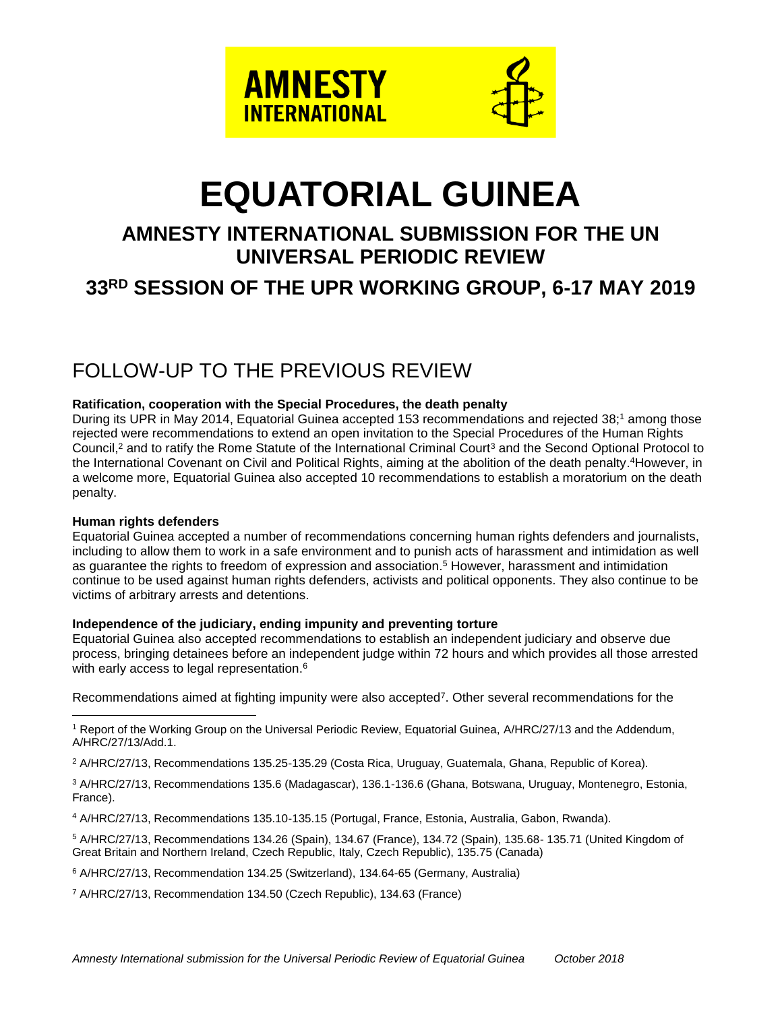

# **EQUATORIAL GUINEA**

# **AMNESTY INTERNATIONAL SUBMISSION FOR THE UN UNIVERSAL PERIODIC REVIEW 33 RD SESSION OF THE UPR WORKING GROUP, 6-17 MAY 2019**

# FOLLOW-UP TO THE PREVIOUS REVIEW

#### **Ratification, cooperation with the Special Procedures, the death penalty**

During its UPR in May 2014, Equatorial Guinea accepted 153 recommendations and rejected 38; <sup>1</sup> among those rejected were recommendations to extend an open invitation to the Special Procedures of the Human Rights Council,<sup>2</sup> and to ratify the Rome Statute of the International Criminal Court<sup>3</sup> and the Second Optional Protocol to the International Covenant on Civil and Political Rights, aiming at the abolition of the death penalty. <sup>4</sup>However, in a welcome more, Equatorial Guinea also accepted 10 recommendations to establish a moratorium on the death penalty.

#### **Human rights defenders**

Equatorial Guinea accepted a number of recommendations concerning human rights defenders and journalists, including to allow them to work in a safe environment and to punish acts of harassment and intimidation as well as guarantee the rights to freedom of expression and association. <sup>5</sup> However, harassment and intimidation continue to be used against human rights defenders, activists and political opponents. They also continue to be victims of arbitrary arrests and detentions.

#### **Independence of the judiciary, ending impunity and preventing torture**

Equatorial Guinea also accepted recommendations to establish an independent judiciary and observe due process, bringing detainees before an independent judge within 72 hours and which provides all those arrested with early access to legal representation.<sup>6</sup>

Recommendations aimed at fighting impunity were also accepted<sup>7</sup>. Other several recommendations for the

 $\overline{a}$ <sup>1</sup> Report of the Working Group on the Universal Periodic Review, Equatorial Guinea, A/HRC/27/13 and the Addendum, A/HRC/27/13/Add.1.

<sup>2</sup> A/HRC/27/13, Recommendations 135.25-135.29 (Costa Rica, Uruguay, Guatemala, Ghana, Republic of Korea).

<sup>3</sup> A/HRC/27/13, Recommendations 135.6 (Madagascar), 136.1-136.6 (Ghana, Botswana, Uruguay, Montenegro, Estonia, France).

<sup>4</sup> A/HRC/27/13, Recommendations 135.10-135.15 (Portugal, France, Estonia, Australia, Gabon, Rwanda).

<sup>5</sup> A/HRC/27/13, Recommendations 134.26 (Spain), 134.67 (France), 134.72 (Spain), 135.68- 135.71 (United Kingdom of Great Britain and Northern Ireland, Czech Republic, Italy, Czech Republic), 135.75 (Canada)

<sup>6</sup> A/HRC/27/13, Recommendation 134.25 (Switzerland), 134.64-65 (Germany, Australia)

<sup>7</sup> A/HRC/27/13, Recommendation 134.50 (Czech Republic), 134.63 (France)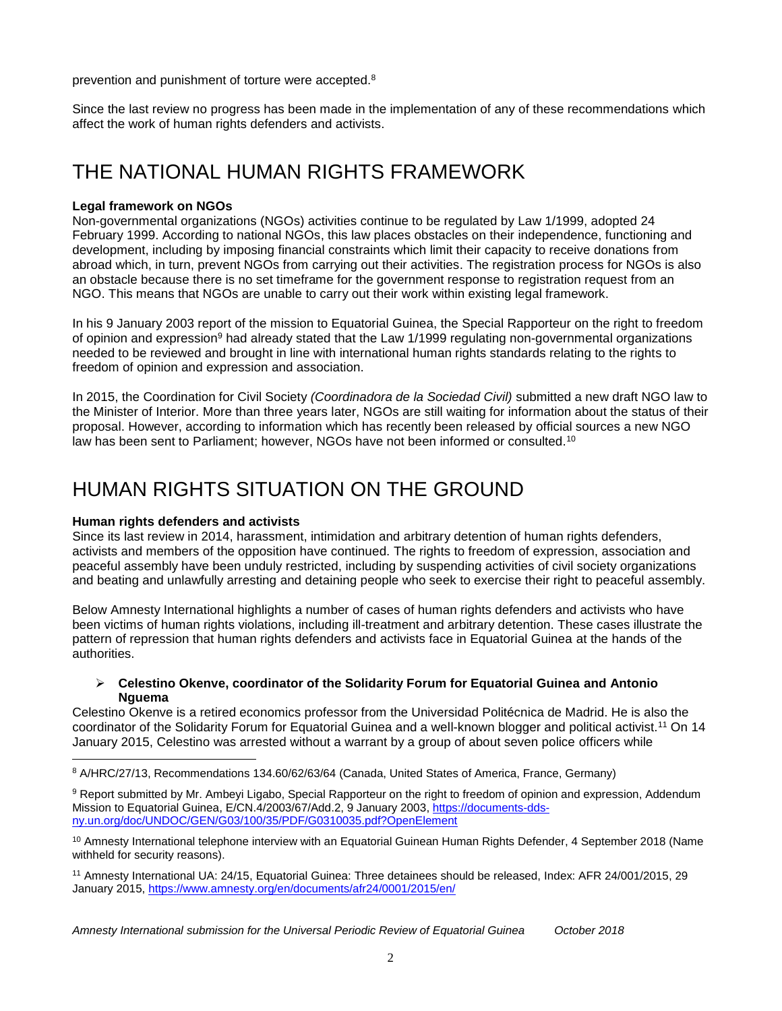prevention and punishment of torture were accepted.<sup>8</sup>

Since the last review no progress has been made in the implementation of any of these recommendations which affect the work of human rights defenders and activists.

# THE NATIONAL HUMAN RIGHTS FRAMEWORK

#### **Legal framework on NGOs**

Non-governmental organizations (NGOs) activities continue to be regulated by Law 1/1999, adopted 24 February 1999. According to national NGOs, this law places obstacles on their independence, functioning and development, including by imposing financial constraints which limit their capacity to receive donations from abroad which, in turn, prevent NGOs from carrying out their activities. The registration process for NGOs is also an obstacle because there is no set timeframe for the government response to registration request from an NGO. This means that NGOs are unable to carry out their work within existing legal framework.

In his 9 January 2003 report of the mission to Equatorial Guinea, the Special Rapporteur on the right to freedom of opinion and expression<sup>9</sup> had already stated that the Law 1/1999 regulating non-governmental organizations needed to be reviewed and brought in line with international human rights standards relating to the rights to freedom of opinion and expression and association.

In 2015, the Coordination for Civil Society *(Coordinadora de la Sociedad Civil)* submitted a new draft NGO law to the Minister of Interior. More than three years later, NGOs are still waiting for information about the status of their proposal. However, according to information which has recently been released by official sources a new NGO law has been sent to Parliament; however, NGOs have not been informed or consulted.<sup>10</sup>

## HUMAN RIGHTS SITUATION ON THE GROUND

#### **Human rights defenders and activists**

Since its last review in 2014, harassment, intimidation and arbitrary detention of human rights defenders, activists and members of the opposition have continued. The rights to freedom of expression, association and peaceful assembly have been unduly restricted, including by suspending activities of civil society organizations and beating and unlawfully arresting and detaining people who seek to exercise their right to peaceful assembly.

Below Amnesty International highlights a number of cases of human rights defenders and activists who have been victims of human rights violations, including ill-treatment and arbitrary detention. These cases illustrate the pattern of repression that human rights defenders and activists face in Equatorial Guinea at the hands of the authorities.

#### **Celestino Okenve, coordinator of the Solidarity Forum for Equatorial Guinea and Antonio Nguema**

Celestino Okenve is a retired economics professor from the Universidad Politécnica de Madrid. He is also the coordinator of the Solidarity Forum for Equatorial Guinea and a well-known blogger and political activist.<sup>11</sup> On 14 January 2015, Celestino was arrested without a warrant by a group of about seven police officers while

 $\overline{a}$ <sup>8</sup> A/HRC/27/13, Recommendations 134.60/62/63/64 (Canada, United States of America, France, Germany)

<sup>9</sup> Report submitted by Mr. Ambeyi Ligabo, Special Rapporteur on the right to freedom of opinion and expression, Addendum Mission to Equatorial Guinea, E/CN.4/2003/67/Add.2, 9 January 2003, [https://documents-dds](https://documents-dds-ny.un.org/doc/UNDOC/GEN/G03/100/35/PDF/G0310035.pdf?OpenElement)[ny.un.org/doc/UNDOC/GEN/G03/100/35/PDF/G0310035.pdf?OpenElement](https://documents-dds-ny.un.org/doc/UNDOC/GEN/G03/100/35/PDF/G0310035.pdf?OpenElement)

<sup>&</sup>lt;sup>10</sup> Amnesty International telephone interview with an Equatorial Guinean Human Rights Defender, 4 September 2018 (Name withheld for security reasons).

<sup>11</sup> Amnesty International UA: 24/15, Equatorial Guinea: Three detainees should be released, Index: AFR 24/001/2015, 29 January 2015, <https://www.amnesty.org/en/documents/afr24/0001/2015/en/>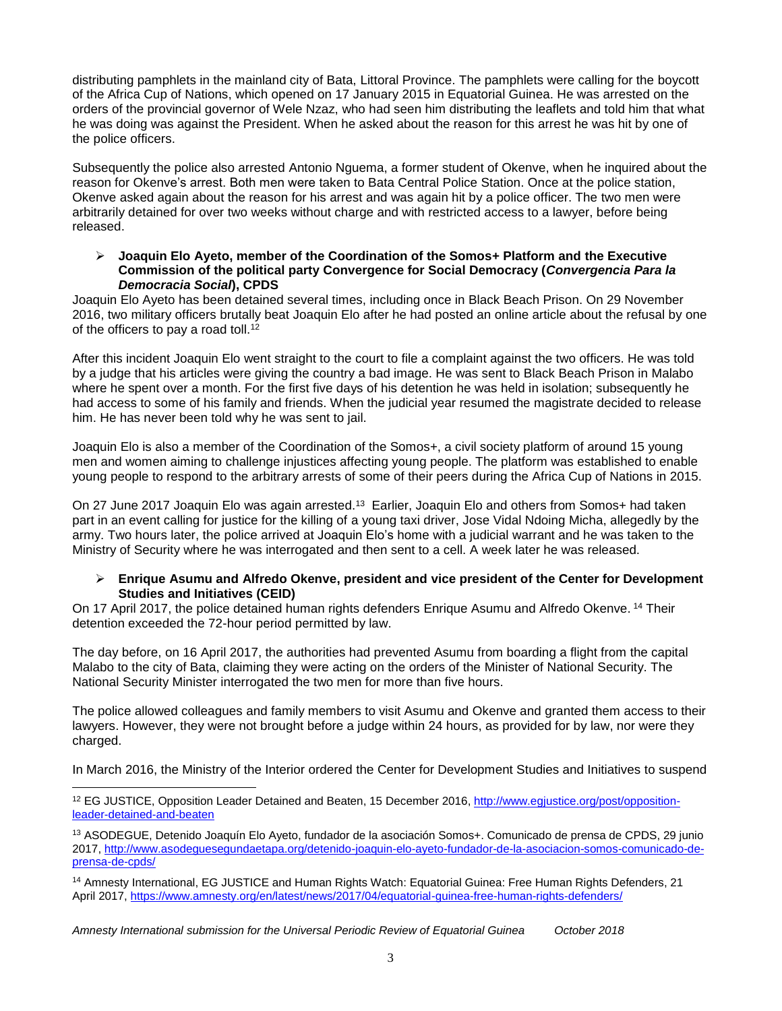distributing pamphlets in the mainland city of Bata, Littoral Province. The pamphlets were calling for the boycott of the Africa Cup of Nations, which opened on 17 January 2015 in Equatorial Guinea. He was arrested on the orders of the provincial governor of Wele Nzaz, who had seen him distributing the leaflets and told him that what he was doing was against the President. When he asked about the reason for this arrest he was hit by one of the police officers.

Subsequently the police also arrested Antonio Nguema, a former student of Okenve, when he inquired about the reason for Okenve's arrest. Both men were taken to Bata Central Police Station. Once at the police station, Okenve asked again about the reason for his arrest and was again hit by a police officer. The two men were arbitrarily detained for over two weeks without charge and with restricted access to a lawyer, before being released.

#### **Joaquin Elo Ayeto, member of the Coordination of the Somos+ Platform and the Executive Commission of the political party Convergence for Social Democracy (***Convergencia Para la Democracia Social***), CPDS**

Joaquin Elo Ayeto has been detained several times, including once in Black Beach Prison. On 29 November 2016, two military officers brutally beat Joaquin Elo after he had posted an online article about the refusal by one of the officers to pay a road toll.<sup>12</sup>

After this incident Joaquin Elo went straight to the court to file a complaint against the two officers. He was told by a judge that his articles were giving the country a bad image. He was sent to Black Beach Prison in Malabo where he spent over a month. For the first five days of his detention he was held in isolation; subsequently he had access to some of his family and friends. When the judicial year resumed the magistrate decided to release him. He has never been told why he was sent to jail.

Joaquin Elo is also a member of the Coordination of the Somos+, a civil society platform of around 15 young men and women aiming to challenge injustices affecting young people. The platform was established to enable young people to respond to the arbitrary arrests of some of their peers during the Africa Cup of Nations in 2015.

On 27 June 2017 Joaquin Elo was again arrested.<sup>13</sup> Earlier, Joaquin Elo and others from Somos+ had taken part in an event calling for justice for the killing of a young taxi driver, Jose Vidal Ndoing Micha, allegedly by the army. Two hours later, the police arrived at Joaquin Elo's home with a judicial warrant and he was taken to the Ministry of Security where he was interrogated and then sent to a cell. A week later he was released.

#### **Enrique Asumu and Alfredo Okenve, president and vice president of the Center for Development Studies and Initiatives (CEID)**

On 17 April 2017, the police detained human rights defenders Enrique Asumu and Alfredo Okenve. <sup>14</sup> Their detention exceeded the 72-hour period permitted by law.

The day before, on 16 April 2017, the authorities had prevented Asumu from boarding a flight from the capital Malabo to the city of Bata, claiming they were acting on the orders of the Minister of National Security. The National Security Minister interrogated the two men for more than five hours.

The police allowed colleagues and family members to visit Asumu and Okenve and granted them access to their lawyers. However, they were not brought before a judge within 24 hours, as provided for by law, nor were they charged.

In March 2016, the Ministry of the Interior ordered the Center for Development Studies and Initiatives to suspend

*Amnesty International submission for the Universal Periodic Review of Equatorial Guinea October 2018*

 $\overline{a}$ 

<sup>&</sup>lt;sup>12</sup> EG JUSTICE, Opposition Leader Detained and Beaten, 15 December 2016, [http://www.egjustice.org/post/opposition](http://www.egjustice.org/post/opposition-leader-detained-and-beaten)[leader-detained-and-beaten](http://www.egjustice.org/post/opposition-leader-detained-and-beaten)

<sup>13</sup> ASODEGUE, Detenido Joaquín Elo Ayeto, fundador de la asociación Somos+. Comunicado de prensa de CPDS, 29 junio 2017[, http://www.asodeguesegundaetapa.org/detenido-joaquin-elo-ayeto-fundador-de-la-asociacion-somos-comunicado-de](http://www.asodeguesegundaetapa.org/detenido-joaquin-elo-ayeto-fundador-de-la-asociacion-somos-comunicado-de-prensa-de-cpds/)[prensa-de-cpds/](http://www.asodeguesegundaetapa.org/detenido-joaquin-elo-ayeto-fundador-de-la-asociacion-somos-comunicado-de-prensa-de-cpds/)

<sup>14</sup> Amnesty International, EG JUSTICE and Human Rights Watch: Equatorial Guinea: Free Human Rights Defenders, 21 April 2017,<https://www.amnesty.org/en/latest/news/2017/04/equatorial-guinea-free-human-rights-defenders/>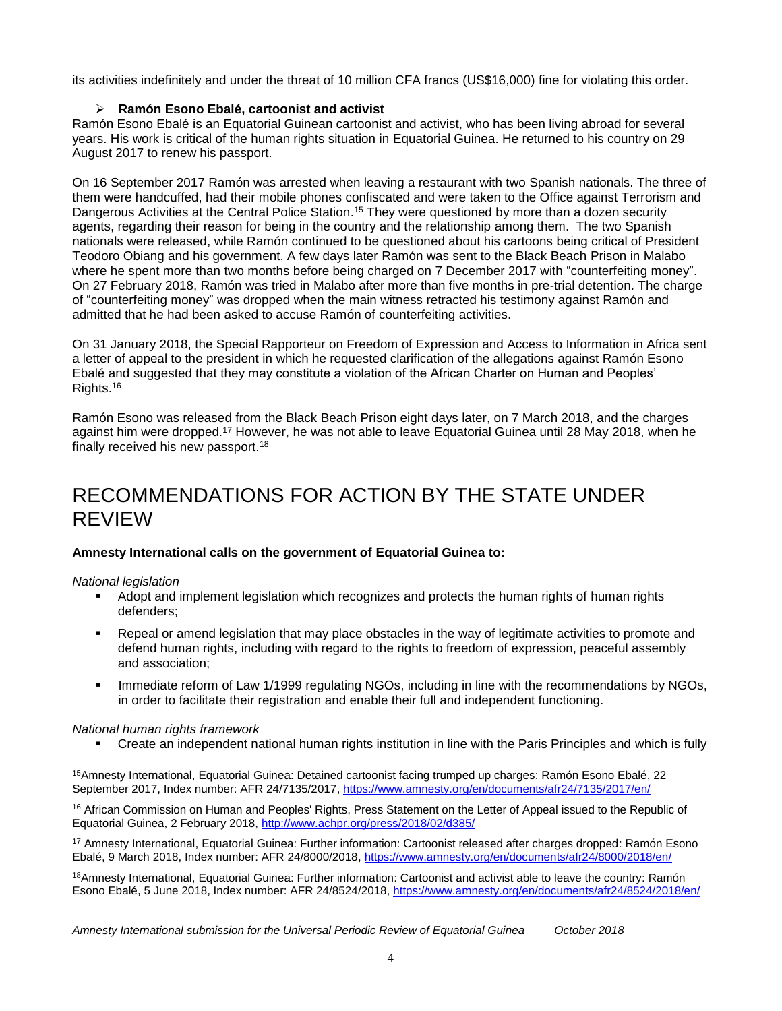its activities indefinitely and under the threat of 10 million CFA francs (US\$16,000) fine for violating this order.

#### **Ramón Esono Ebalé, cartoonist and activist**

Ramón Esono Ebalé is an Equatorial Guinean cartoonist and activist, who has been living abroad for several years. His work is critical of the human rights situation in Equatorial Guinea. He returned to his country on 29 August 2017 to renew his passport.

On 16 September 2017 Ramón was arrested when leaving a restaurant with two Spanish nationals. The three of them were handcuffed, had their mobile phones confiscated and were taken to the Office against Terrorism and Dangerous Activities at the Central Police Station.<sup>15</sup> They were questioned by more than a dozen security agents, regarding their reason for being in the country and the relationship among them. The two Spanish nationals were released, while Ramón continued to be questioned about his cartoons being critical of President Teodoro Obiang and his government. A few days later Ramón was sent to the Black Beach Prison in Malabo where he spent more than two months before being charged on 7 December 2017 with "counterfeiting money". On 27 February 2018, Ramón was tried in Malabo after more than five months in pre-trial detention. The charge of "counterfeiting money" was dropped when the main witness retracted his testimony against Ramón and admitted that he had been asked to accuse Ramón of counterfeiting activities.

On 31 January 2018, the Special Rapporteur on Freedom of Expression and Access to Information in Africa sent a letter of appeal to the president in which he requested clarification of the allegations against Ramón Esono Ebalé and suggested that they may constitute a violation of the African Charter on Human and Peoples' Rights.<sup>16</sup>

Ramón Esono was released from the Black Beach Prison eight days later, on 7 March 2018, and the charges against him were dropped.<sup>17</sup> However, he was not able to leave Equatorial Guinea until 28 May 2018, when he finally received his new passport.<sup>18</sup>

### RECOMMENDATIONS FOR ACTION BY THE STATE UNDER REVIEW

#### **Amnesty International calls on the government of Equatorial Guinea to:**

#### *National legislation*

- Adopt and implement legislation which recognizes and protects the human rights of human rights defenders;
- Repeal or amend legislation that may place obstacles in the way of legitimate activities to promote and defend human rights, including with regard to the rights to freedom of expression, peaceful assembly and association;
- Immediate reform of Law 1/1999 regulating NGOs, including in line with the recommendations by NGOs, in order to facilitate their registration and enable their full and independent functioning.

#### *National human rights framework*

Create an independent national human rights institution in line with the Paris Principles and which is fully

<sup>16</sup> African Commission on Human and Peoples' Rights, Press Statement on the Letter of Appeal issued to the Republic of Equatorial Guinea, 2 February 2018,<http://www.achpr.org/press/2018/02/d385/>

<sup>17</sup> Amnesty International, Equatorial Guinea: Further information: Cartoonist released after charges dropped: Ramón Esono Ebalé, 9 March 2018, Index number: AFR 24/8000/2018,<https://www.amnesty.org/en/documents/afr24/8000/2018/en/>

<sup>18</sup>Amnesty International, Equatorial Guinea: Further information: Cartoonist and activist able to leave the country: Ramón Esono Ebalé, 5 June 2018, Index number: AFR 24/8524/2018,<https://www.amnesty.org/en/documents/afr24/8524/2018/en/>

 $\overline{a}$ <sup>15</sup>Amnesty International, Equatorial Guinea: Detained cartoonist facing trumped up charges: Ramón Esono Ebalé, 22 September 2017, Index number: AFR 24/7135/2017,<https://www.amnesty.org/en/documents/afr24/7135/2017/en/>